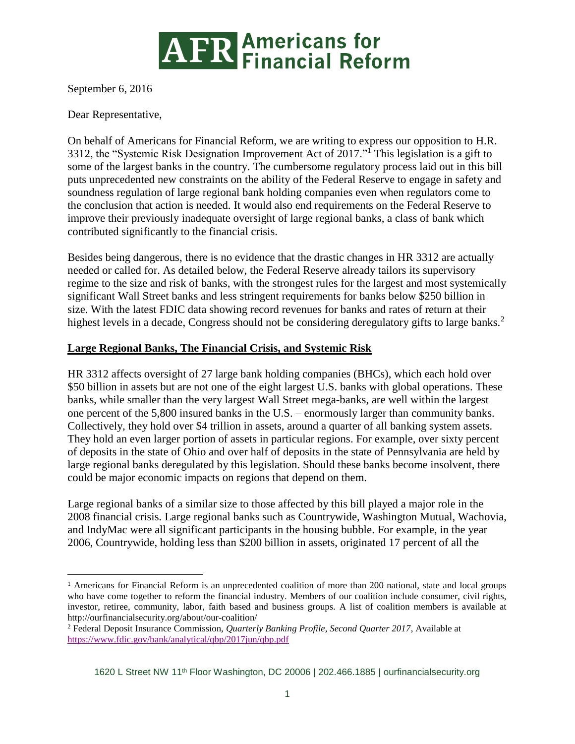

September 6, 2016

Dear Representative,

 $\overline{a}$ 

On behalf of Americans for Financial Reform, we are writing to express our opposition to H.R. 3312, the "Systemic Risk Designation Improvement Act of 2017."<sup>1</sup> This legislation is a gift to some of the largest banks in the country. The cumbersome regulatory process laid out in this bill puts unprecedented new constraints on the ability of the Federal Reserve to engage in safety and soundness regulation of large regional bank holding companies even when regulators come to the conclusion that action is needed. It would also end requirements on the Federal Reserve to improve their previously inadequate oversight of large regional banks, a class of bank which contributed significantly to the financial crisis.

Besides being dangerous, there is no evidence that the drastic changes in HR 3312 are actually needed or called for. As detailed below, the Federal Reserve already tailors its supervisory regime to the size and risk of banks, with the strongest rules for the largest and most systemically significant Wall Street banks and less stringent requirements for banks below \$250 billion in size. With the latest FDIC data showing record revenues for banks and rates of return at their highest levels in a decade, Congress should not be considering deregulatory gifts to large banks.<sup>2</sup>

## **Large Regional Banks, The Financial Crisis, and Systemic Risk**

HR 3312 affects oversight of 27 large bank holding companies (BHCs), which each hold over \$50 billion in assets but are not one of the eight largest U.S. banks with global operations. These banks, while smaller than the very largest Wall Street mega-banks, are well within the largest one percent of the 5,800 insured banks in the U.S. – enormously larger than community banks. Collectively, they hold over \$4 trillion in assets, around a quarter of all banking system assets. They hold an even larger portion of assets in particular regions. For example, over sixty percent of deposits in the state of Ohio and over half of deposits in the state of Pennsylvania are held by large regional banks deregulated by this legislation. Should these banks become insolvent, there could be major economic impacts on regions that depend on them.

Large regional banks of a similar size to those affected by this bill played a major role in the 2008 financial crisis. Large regional banks such as Countrywide, Washington Mutual, Wachovia, and IndyMac were all significant participants in the housing bubble. For example, in the year 2006, Countrywide, holding less than \$200 billion in assets, originated 17 percent of all the

<sup>1</sup> Americans for Financial Reform is an unprecedented coalition of more than 200 national, state and local groups who have come together to reform the financial industry. Members of our coalition include consumer, civil rights, investor, retiree, community, labor, faith based and business groups. A list of coalition members is available at http://ourfinancialsecurity.org/about/our-coalition/

<sup>2</sup> Federal Deposit Insurance Commission, *Quarterly Banking Profile, Second Quarter 2017*, Available at <https://www.fdic.gov/bank/analytical/qbp/2017jun/qbp.pdf>

<sup>1620</sup> L Street NW 11th Floor Washington, DC 20006 | 202.466.1885 | [ourfinancialsecurity.org](file:///C:/Users/EKilroy/Downloads/ourfinancialsecurity.org)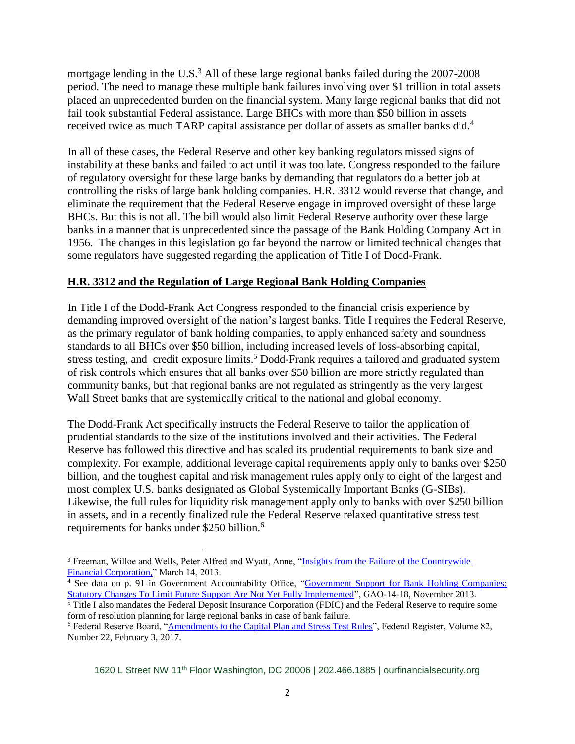mortgage lending in the U.S.<sup>3</sup> All of these large regional banks failed during the  $2007$ - $2008$ period. The need to manage these multiple bank failures involving over \$1 trillion in total assets placed an unprecedented burden on the financial system. Many large regional banks that did not fail took substantial Federal assistance. Large BHCs with more than \$50 billion in assets received twice as much TARP capital assistance per dollar of assets as smaller banks did.<sup>4</sup>

In all of these cases, the Federal Reserve and other key banking regulators missed signs of instability at these banks and failed to act until it was too late. Congress responded to the failure of regulatory oversight for these large banks by demanding that regulators do a better job at controlling the risks of large bank holding companies. H.R. 3312 would reverse that change, and eliminate the requirement that the Federal Reserve engage in improved oversight of these large BHCs. But this is not all. The bill would also limit Federal Reserve authority over these large banks in a manner that is unprecedented since the passage of the Bank Holding Company Act in 1956. The changes in this legislation go far beyond the narrow or limited technical changes that some regulators have suggested regarding the application of Title I of Dodd-Frank.

## **H.R. 3312 and the Regulation of Large Regional Bank Holding Companies**

In Title I of the Dodd-Frank Act Congress responded to the financial crisis experience by demanding improved oversight of the nation's largest banks. Title I requires the Federal Reserve, as the primary regulator of bank holding companies, to apply enhanced safety and soundness standards to all BHCs over \$50 billion, including increased levels of loss-absorbing capital, stress testing, and credit exposure limits.<sup>5</sup> Dodd-Frank requires a tailored and graduated system of risk controls which ensures that all banks over \$50 billion are more strictly regulated than community banks, but that regional banks are not regulated as stringently as the very largest Wall Street banks that are systemically critical to the national and global economy.

The Dodd-Frank Act specifically instructs the Federal Reserve to tailor the application of prudential standards to the size of the institutions involved and their activities. The Federal Reserve has followed this directive and has scaled its prudential requirements to bank size and complexity. For example, additional leverage capital requirements apply only to banks over \$250 billion, and the toughest capital and risk management rules apply only to eight of the largest and most complex U.S. banks designated as Global Systemically Important Banks (G-SIBs). Likewise, the full rules for liquidity risk management apply only to banks with over \$250 billion in assets, and in a recently finalized rule the Federal Reserve relaxed quantitative stress test requirements for banks under \$250 billion.<sup>6</sup>

 $\overline{\phantom{a}}$ 

1620 L Street NW 11th Floor Washington, DC 20006 | 202.466.1885 | [ourfinancialsecurity.org](file:///C:/Users/EKilroy/Downloads/ourfinancialsecurity.org)

<sup>3</sup> Freeman, Willoe and Wells, Peter Alfred and Wyatt, Anne, ["Insights from the Failure of the Countrywide](http://papers.ssrn.com/sol3/papers.cfm?abstract_id=2275772)  [Financial Corporation,](http://papers.ssrn.com/sol3/papers.cfm?abstract_id=2275772)" March 14, 2013.

<sup>4</sup> See data on p. 91 in Government Accountability Office, ["Government Support for Bank Holding Companies:](http://www.gao.gov/assets/660/659004.pdf)  [Statutory Changes To Limit Future Support Are Not Yet Fully Implemented"](http://www.gao.gov/assets/660/659004.pdf), GAO-14-18, November 2013. <sup>5</sup> Title I also mandates the Federal Deposit Insurance Corporation (FDIC) and the Federal Reserve to require some

form of resolution planning for large regional banks in case of bank failure.

<sup>6</sup> Federal Reserve Board, ["Amendments to the Capital Plan and Stress Test Rules"](https://www.gpo.gov/fdsys/pkg/FR-2017-02-03/pdf/2017-02257.pdf), Federal Register, Volume 82, Number 22, February 3, 2017.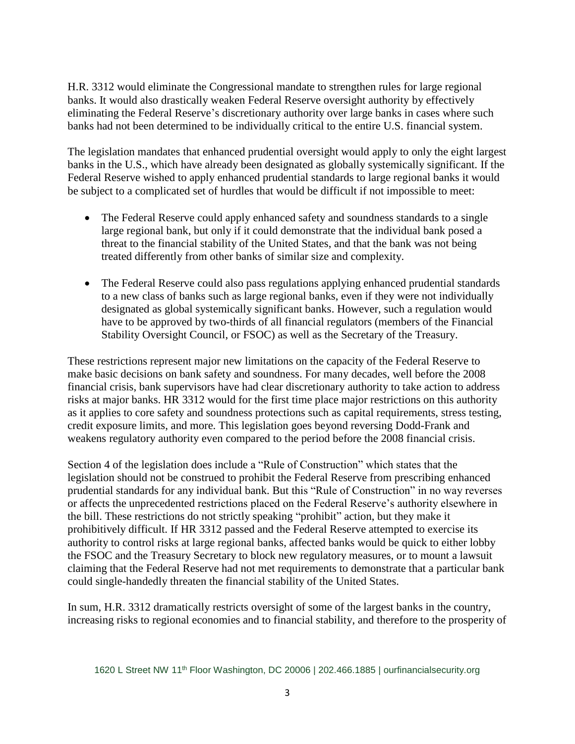H.R. 3312 would eliminate the Congressional mandate to strengthen rules for large regional banks. It would also drastically weaken Federal Reserve oversight authority by effectively eliminating the Federal Reserve's discretionary authority over large banks in cases where such banks had not been determined to be individually critical to the entire U.S. financial system.

The legislation mandates that enhanced prudential oversight would apply to only the eight largest banks in the U.S., which have already been designated as globally systemically significant. If the Federal Reserve wished to apply enhanced prudential standards to large regional banks it would be subject to a complicated set of hurdles that would be difficult if not impossible to meet:

- The Federal Reserve could apply enhanced safety and soundness standards to a single large regional bank, but only if it could demonstrate that the individual bank posed a threat to the financial stability of the United States, and that the bank was not being treated differently from other banks of similar size and complexity.
- The Federal Reserve could also pass regulations applying enhanced prudential standards to a new class of banks such as large regional banks, even if they were not individually designated as global systemically significant banks. However, such a regulation would have to be approved by two-thirds of all financial regulators (members of the Financial Stability Oversight Council, or FSOC) as well as the Secretary of the Treasury.

These restrictions represent major new limitations on the capacity of the Federal Reserve to make basic decisions on bank safety and soundness. For many decades, well before the 2008 financial crisis, bank supervisors have had clear discretionary authority to take action to address risks at major banks. HR 3312 would for the first time place major restrictions on this authority as it applies to core safety and soundness protections such as capital requirements, stress testing, credit exposure limits, and more. This legislation goes beyond reversing Dodd-Frank and weakens regulatory authority even compared to the period before the 2008 financial crisis.

Section 4 of the legislation does include a "Rule of Construction" which states that the legislation should not be construed to prohibit the Federal Reserve from prescribing enhanced prudential standards for any individual bank. But this "Rule of Construction" in no way reverses or affects the unprecedented restrictions placed on the Federal Reserve's authority elsewhere in the bill. These restrictions do not strictly speaking "prohibit" action, but they make it prohibitively difficult. If HR 3312 passed and the Federal Reserve attempted to exercise its authority to control risks at large regional banks, affected banks would be quick to either lobby the FSOC and the Treasury Secretary to block new regulatory measures, or to mount a lawsuit claiming that the Federal Reserve had not met requirements to demonstrate that a particular bank could single-handedly threaten the financial stability of the United States.

In sum, H.R. 3312 dramatically restricts oversight of some of the largest banks in the country, increasing risks to regional economies and to financial stability, and therefore to the prosperity of